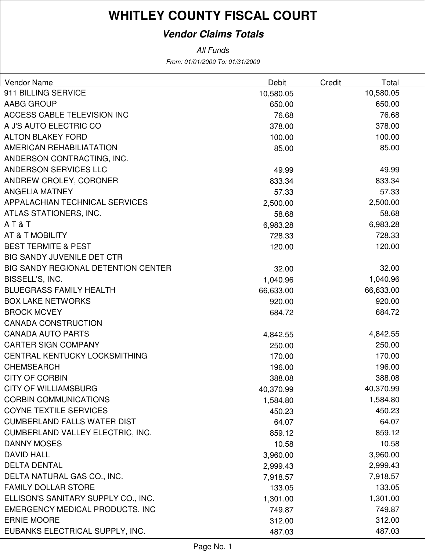# **WHITLEY COUNTY FISCAL COURT**

### **Vendor Claims Totals**

From: 01/01/2009 To: 01/31/2009 All Funds

| Vendor Name                                | Debit     | <b>Credit</b> | Total     |
|--------------------------------------------|-----------|---------------|-----------|
| 911 BILLING SERVICE                        | 10,580.05 |               | 10,580.05 |
| AABG GROUP                                 | 650.00    |               | 650.00    |
| ACCESS CABLE TELEVISION INC                | 76.68     |               | 76.68     |
| A J'S AUTO ELECTRIC CO                     | 378.00    |               | 378.00    |
| <b>ALTON BLAKEY FORD</b>                   | 100.00    |               | 100.00    |
| AMERICAN REHABILIATATION                   | 85.00     |               | 85.00     |
| ANDERSON CONTRACTING, INC.                 |           |               |           |
| ANDERSON SERVICES LLC                      | 49.99     |               | 49.99     |
| ANDREW CROLEY, CORONER                     | 833.34    |               | 833.34    |
| <b>ANGELIA MATNEY</b>                      | 57.33     |               | 57.33     |
| APPALACHIAN TECHNICAL SERVICES             | 2,500.00  |               | 2,500.00  |
| ATLAS STATIONERS, INC.                     | 58.68     |               | 58.68     |
| AT&T                                       | 6,983.28  |               | 6,983.28  |
| AT & T MOBILITY                            | 728.33    |               | 728.33    |
| <b>BEST TERMITE &amp; PEST</b>             | 120.00    |               | 120.00    |
| <b>BIG SANDY JUVENILE DET CTR</b>          |           |               |           |
| <b>BIG SANDY REGIONAL DETENTION CENTER</b> | 32.00     |               | 32.00     |
| BISSELL'S, INC.                            | 1,040.96  |               | 1,040.96  |
| <b>BLUEGRASS FAMILY HEALTH</b>             | 66,633.00 |               | 66,633.00 |
| <b>BOX LAKE NETWORKS</b>                   | 920.00    |               | 920.00    |
| <b>BROCK MCVEY</b>                         | 684.72    |               | 684.72    |
| <b>CANADA CONSTRUCTION</b>                 |           |               |           |
| <b>CANADA AUTO PARTS</b>                   | 4,842.55  |               | 4,842.55  |
| <b>CARTER SIGN COMPANY</b>                 | 250.00    |               | 250.00    |
| CENTRAL KENTUCKY LOCKSMITHING              | 170.00    |               | 170.00    |
| <b>CHEMSEARCH</b>                          | 196.00    |               | 196.00    |
| <b>CITY OF CORBIN</b>                      | 388.08    |               | 388.08    |
| <b>CITY OF WILLIAMSBURG</b>                | 40,370.99 |               | 40,370.99 |
| <b>CORBIN COMMUNICATIONS</b>               | 1,584.80  |               | 1,584.80  |
| <b>COYNE TEXTILE SERVICES</b>              | 450.23    |               | 450.23    |
| <b>CUMBERLAND FALLS WATER DIST</b>         | 64.07     |               | 64.07     |
| <b>CUMBERLAND VALLEY ELECTRIC, INC.</b>    | 859.12    |               | 859.12    |
| <b>DANNY MOSES</b>                         | 10.58     |               | 10.58     |
| <b>DAVID HALL</b>                          | 3,960.00  |               | 3,960.00  |
| <b>DELTA DENTAL</b>                        | 2,999.43  |               | 2,999.43  |
| DELTA NATURAL GAS CO., INC.                | 7,918.57  |               | 7,918.57  |
| <b>FAMILY DOLLAR STORE</b>                 | 133.05    |               | 133.05    |
| ELLISON'S SANITARY SUPPLY CO., INC.        | 1,301.00  |               | 1,301.00  |
| <b>EMERGENCY MEDICAL PRODUCTS, INC</b>     | 749.87    |               | 749.87    |
| <b>ERNIE MOORE</b>                         | 312.00    |               | 312.00    |
| EUBANKS ELECTRICAL SUPPLY, INC.            | 487.03    |               | 487.03    |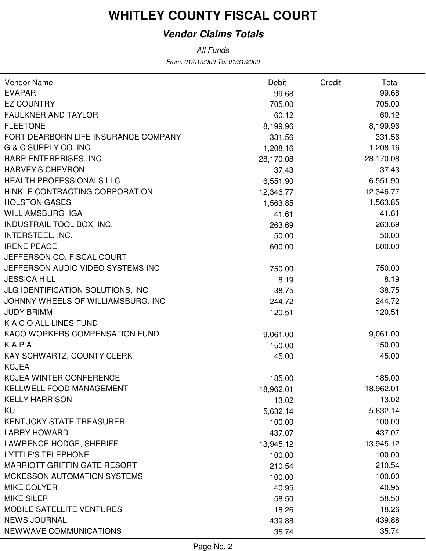# **WHITLEY COUNTY FISCAL COURT**

### **Vendor Claims Totals**

From: 01/01/2009 To: 01/31/2009 All Funds

| <b>Vendor Name</b>                   | Debit     | Credit<br>Total |  |
|--------------------------------------|-----------|-----------------|--|
| <b>EVAPAR</b>                        | 99.68     | 99.68           |  |
| <b>EZ COUNTRY</b>                    | 705.00    | 705.00          |  |
| FAULKNER AND TAYLOR                  | 60.12     | 60.12           |  |
| <b>FLEETONE</b>                      | 8,199.96  | 8,199.96        |  |
| FORT DEARBORN LIFE INSURANCE COMPANY | 331.56    | 331.56          |  |
| G & C SUPPLY CO. INC.                | 1,208.16  | 1,208.16        |  |
| HARP ENTERPRISES, INC.               | 28,170.08 | 28,170.08       |  |
| <b>HARVEY'S CHEVRON</b>              | 37.43     | 37.43           |  |
| <b>HEALTH PROFESSIONALS LLC</b>      | 6,551.90  | 6,551.90        |  |
| HINKLE CONTRACTING CORPORATION       | 12,346.77 | 12,346.77       |  |
| <b>HOLSTON GASES</b>                 | 1,563.85  | 1,563.85        |  |
| <b>WILLIAMSBURG IGA</b>              | 41.61     | 41.61           |  |
| INDUSTRAIL TOOL BOX, INC.            | 263.69    | 263.69          |  |
| <b>INTERSTEEL, INC.</b>              | 50.00     | 50.00           |  |
| <b>IRENE PEACE</b>                   | 600.00    | 600.00          |  |
| JEFFERSON CO. FISCAL COURT           |           |                 |  |
| JEFFERSON AUDIO VIDEO SYSTEMS INC    | 750.00    | 750.00          |  |
| <b>JESSICA HILL</b>                  | 8.19      | 8.19            |  |
| JLG IDENTIFICATION SOLUTIONS, INC    | 38.75     | 38.75           |  |
| JOHNNY WHEELS OF WILLIAMSBURG, INC   | 244.72    | 244.72          |  |
| <b>JUDY BRIMM</b>                    | 120.51    | 120.51          |  |
| K A C O ALL LINES FUND               |           |                 |  |
| KACO WORKERS COMPENSATION FUND       | 9,061.00  | 9,061.00        |  |
| KAPA                                 | 150.00    | 150.00          |  |
| KAY SCHWARTZ, COUNTY CLERK           | 45.00     | 45.00           |  |
| <b>KCJEA</b>                         |           |                 |  |
| <b>KCJEA WINTER CONFERENCE</b>       | 185.00    | 185.00          |  |
| <b>KELLWELL FOOD MANAGEMENT</b>      | 18,962.01 | 18,962.01       |  |
| <b>KELLY HARRISON</b>                | 13.02     | 13.02           |  |
| KU                                   | 5,632.14  | 5,632.14        |  |
| <b>KENTUCKY STATE TREASURER</b>      | 100.00    | 100.00          |  |
| <b>LARRY HOWARD</b>                  | 437.07    | 437.07          |  |
| LAWRENCE HODGE, SHERIFF              | 13,945.12 | 13,945.12       |  |
| <b>LYTTLE'S TELEPHONE</b>            | 100.00    | 100.00          |  |
| <b>MARRIOTT GRIFFIN GATE RESORT</b>  | 210.54    | 210.54          |  |
| <b>MCKESSON AUTOMATION SYSTEMS</b>   | 100.00    | 100.00          |  |
| <b>MIKE COLYER</b>                   | 40.95     | 40.95           |  |
| <b>MIKE SILER</b>                    | 58.50     | 58.50           |  |
| <b>MOBILE SATELLITE VENTURES</b>     | 18.26     | 18.26           |  |
| <b>NEWS JOURNAL</b>                  | 439.88    | 439.88          |  |
| NEWWAVE COMMUNICATIONS               | 35.74     | 35.74           |  |